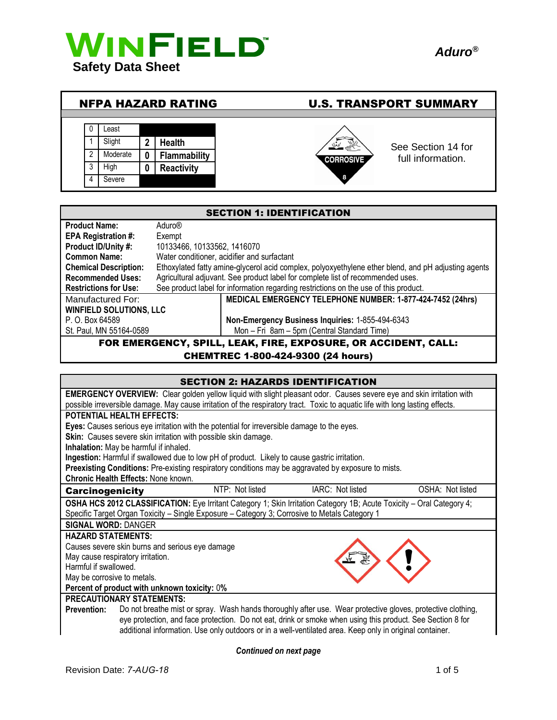

| <b>NFPA HAZARD RATING</b>               |                                    |                                                           | <b>U.S. TRANSPORT SUMMARY</b>                                    |  |
|-----------------------------------------|------------------------------------|-----------------------------------------------------------|------------------------------------------------------------------|--|
| ∟east<br>-0<br>Slight<br>High<br>3<br>4 | כי<br>Moderate<br>0<br>0<br>Severe | <b>Health</b><br><b>Flammability</b><br><b>Reactivity</b> | See Section 14 for<br>full information.<br><b>CORROSIVE</b><br>8 |  |

| <b>SECTION 1: IDENTIFICATION</b>                                       |                                                                                                     |  |  |
|------------------------------------------------------------------------|-----------------------------------------------------------------------------------------------------|--|--|
| <b>Product Name:</b>                                                   | Aduro®                                                                                              |  |  |
| <b>EPA Registration #:</b>                                             | Exempt                                                                                              |  |  |
| Product ID/Unity #:                                                    | 10133466, 10133562, 1416070                                                                         |  |  |
| <b>Common Name:</b>                                                    | Water conditioner, acidifier and surfactant                                                         |  |  |
| <b>Chemical Description:</b>                                           | Ethoxylated fatty amine-glycerol acid complex, polyoxyethylene ether blend, and pH adjusting agents |  |  |
| <b>Recommended Uses:</b>                                               | Agricultural adjuvant. See product label for complete list of recommended uses.                     |  |  |
| <b>Restrictions for Use:</b>                                           | See product label for information regarding restrictions on the use of this product.                |  |  |
| Manufactured For:                                                      | MEDICAL EMERGENCY TELEPHONE NUMBER: 1-877-424-7452 (24hrs)                                          |  |  |
| <b>WINFIELD SOLUTIONS, LLC</b>                                         |                                                                                                     |  |  |
| P. O. Box 64589                                                        | Non-Emergency Business Inquiries: 1-855-494-6343                                                    |  |  |
| Mon - Fri 8am - 5pm (Central Standard Time)<br>St. Paul, MN 55164-0589 |                                                                                                     |  |  |
| FOR EMERGENCY, SPILL, LEAK, FIRE, EXPOSURE, OR ACCIDENT, CALL:         |                                                                                                     |  |  |

CHEMTREC 1-800-424-9300 (24 hours)

| <b>SECTION 2: HAZARDS IDENTIFICATION</b>     |                                                                                                                             |                 |                                                                                                                               |                  |
|----------------------------------------------|-----------------------------------------------------------------------------------------------------------------------------|-----------------|-------------------------------------------------------------------------------------------------------------------------------|------------------|
|                                              | <b>EMERGENCY OVERVIEW:</b> Clear golden yellow liquid with slight pleasant odor. Causes severe eye and skin irritation with |                 |                                                                                                                               |                  |
|                                              |                                                                                                                             |                 | possible irreversible damage. May cause irritation of the respiratory tract. Toxic to aquatic life with long lasting effects. |                  |
|                                              | <b>POTENTIAL HEALTH EFFECTS:</b>                                                                                            |                 |                                                                                                                               |                  |
|                                              | Eyes: Causes serious eye irritation with the potential for irreversible damage to the eyes.                                 |                 |                                                                                                                               |                  |
|                                              | Skin: Causes severe skin irritation with possible skin damage.                                                              |                 |                                                                                                                               |                  |
|                                              | Inhalation: May be harmful if inhaled.                                                                                      |                 |                                                                                                                               |                  |
|                                              | Ingestion: Harmful if swallowed due to low pH of product. Likely to cause gastric irritation.                               |                 |                                                                                                                               |                  |
|                                              |                                                                                                                             |                 | Preexisting Conditions: Pre-existing respiratory conditions may be aggravated by exposure to mists.                           |                  |
|                                              | <b>Chronic Health Effects: None known.</b>                                                                                  |                 |                                                                                                                               |                  |
| <b>Carcinogenicity</b>                       |                                                                                                                             | NTP: Not listed | IARC: Not listed                                                                                                              | OSHA: Not listed |
|                                              |                                                                                                                             |                 | OSHA HCS 2012 CLASSIFICATION: Eye Irritant Category 1; Skin Irritation Category 1B; Acute Toxicity – Oral Category 4;         |                  |
|                                              |                                                                                                                             |                 | Specific Target Organ Toxicity - Single Exposure - Category 3; Corrosive to Metals Category 1                                 |                  |
|                                              | <b>SIGNAL WORD: DANGER</b>                                                                                                  |                 |                                                                                                                               |                  |
| <b>HAZARD STATEMENTS:</b>                    |                                                                                                                             |                 |                                                                                                                               |                  |
|                                              | Causes severe skin burns and serious eye damage                                                                             |                 |                                                                                                                               |                  |
| May cause respiratory irritation.            |                                                                                                                             |                 |                                                                                                                               |                  |
| Harmful if swallowed.                        |                                                                                                                             |                 |                                                                                                                               |                  |
| May be corrosive to metals.                  |                                                                                                                             |                 |                                                                                                                               |                  |
| Percent of product with unknown toxicity: 0% |                                                                                                                             |                 |                                                                                                                               |                  |
| <b>PRECAUTIONARY STATEMENTS:</b>             |                                                                                                                             |                 |                                                                                                                               |                  |
| <b>Prevention:</b>                           | Do not breathe mist or spray. Wash hands thoroughly after use. Wear protective gloves, protective clothing,                 |                 |                                                                                                                               |                  |
|                                              |                                                                                                                             |                 | eye protection, and face protection. Do not eat, drink or smoke when using this product. See Section 8 for                    |                  |
|                                              |                                                                                                                             |                 | additional information. Use only outdoors or in a well-ventilated area. Keep only in original container.                      |                  |

*Continued on next page*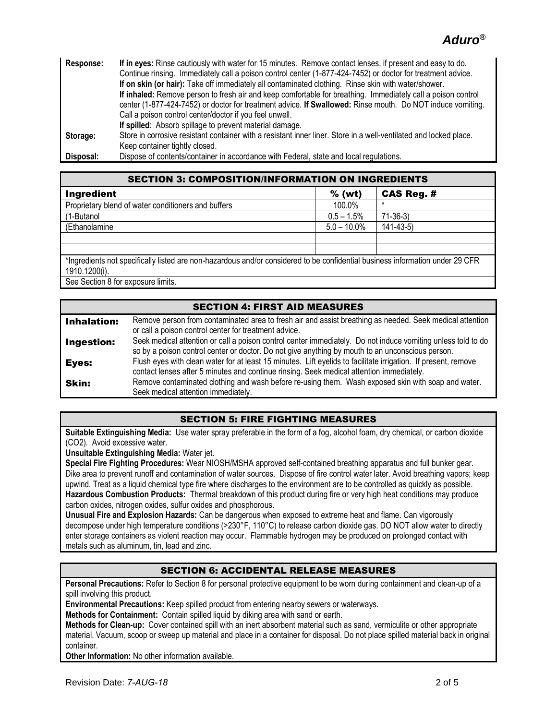# *Aduro®*

| Response: | If in eyes: Rinse cautiously with water for 15 minutes. Remove contact lenses, if present and easy to do.         |  |  |  |
|-----------|-------------------------------------------------------------------------------------------------------------------|--|--|--|
|           | Continue rinsing. Immediately call a poison control center (1-877-424-7452) or doctor for treatment advice.       |  |  |  |
|           | If on skin (or hair): Take off immediately all contaminated clothing. Rinse skin with water/shower.               |  |  |  |
|           | If inhaled: Remove person to fresh air and keep comfortable for breathing. Immediately call a poison control      |  |  |  |
|           | center (1-877-424-7452) or doctor for treatment advice. If Swallowed: Rinse mouth. Do NOT induce vomiting.        |  |  |  |
|           | Call a poison control center/doctor if you feel unwell.                                                           |  |  |  |
|           | If spilled: Absorb spillage to prevent material damage.                                                           |  |  |  |
| Storage:  | Store in corrosive resistant container with a resistant inner liner. Store in a well-ventilated and locked place. |  |  |  |
|           | Keep container tightly closed.                                                                                    |  |  |  |
| Disposal: | Dispose of contents/container in accordance with Federal, state and local regulations.                            |  |  |  |

| <b>SECTION 3: COMPOSITION/INFORMATION ON INGREDIENTS</b>                                                                      |                |                   |  |  |
|-------------------------------------------------------------------------------------------------------------------------------|----------------|-------------------|--|--|
| Ingredient                                                                                                                    | $%$ (wt)       | <b>CAS Reg. #</b> |  |  |
| Proprietary blend of water conditioners and buffers                                                                           | 100.0%         | $\star$           |  |  |
| (1-Butanol                                                                                                                    | $0.5 - 1.5\%$  | $71-36-3$         |  |  |
| (Ethanolamine                                                                                                                 | $5.0 - 10.0\%$ | $141 - 43 - 5$    |  |  |
|                                                                                                                               |                |                   |  |  |
|                                                                                                                               |                |                   |  |  |
| *Ingredients not specifically listed are non-hazardous and/or considered to be confidential business information under 29 CFR |                |                   |  |  |
| 1910.1200(i).                                                                                                                 |                |                   |  |  |
| One Onation Office concerning limits                                                                                          |                |                   |  |  |

See Section 8 for exposure limits.

### SECTION 4: FIRST AID MEASURES **Inhalation:** Remove person from contaminated area to fresh air and assist breathing as needed. Seek medical attention or call a poison control center for treatment advice. **Ingestion:** Seek medical attention or call a poison control center immediately. Do not induce vomiting unless told to do so by a poison control center or doctor. Do not give anything by mouth to an unconscious person. Eyes: Flush eyes with clean water for at least 15 minutes. Lift eyelids to facilitate irrigation. If present, remove contact lenses after 5 minutes and continue rinsing. Seek medical attention immediately. **Skin:** Remove contaminated clothing and wash before re-using them. Wash exposed skin with soap and water. Seek medical attention immediately.

### SECTION 5: FIRE FIGHTING MEASURES

**Suitable Extinguishing Media:** Use water spray preferable in the form of a fog, alcohol foam, dry chemical, or carbon dioxide (CO2). Avoid excessive water.

**Unsuitable Extinguishing Media:** Water jet.

**Special Fire Fighting Procedures:** Wear NIOSH/MSHA approved self-contained breathing apparatus and full bunker gear. Dike area to prevent runoff and contamination of water sources. Dispose of fire control water later. Avoid breathing vapors; keep upwind. Treat as a liquid chemical type fire where discharges to the environment are to be controlled as quickly as possible. **Hazardous Combustion Products:** Thermal breakdown of this product during fire or very high heat conditions may produce carbon oxides, nitrogen oxides, sulfur oxides and phosphorous.

**Unusual Fire and Explosion Hazards:** Can be dangerous when exposed to extreme heat and flame. Can vigorously decompose under high temperature conditions (>230°F, 110°C) to release carbon dioxide gas. DO NOT allow water to directly enter storage containers as violent reaction may occur. Flammable hydrogen may be produced on prolonged contact with metals such as aluminum, tin, lead and zinc.

### SECTION 6: ACCIDENTAL RELEASE MEASURES

**Personal Precautions:** Refer to Section 8 for personal protective equipment to be worn during containment and clean-up of a spill involving this product.

**Environmental Precautions:** Keep spilled product from entering nearby sewers or waterways.

**Methods for Containment:** Contain spilled liquid by diking area with sand or earth.

**Methods for Clean-up:** Cover contained spill with an inert absorbent material such as sand, vermiculite or other appropriate material. Vacuum, scoop or sweep up material and place in a container for disposal. Do not place spilled material back in original container.

**Other Information:** No other information available.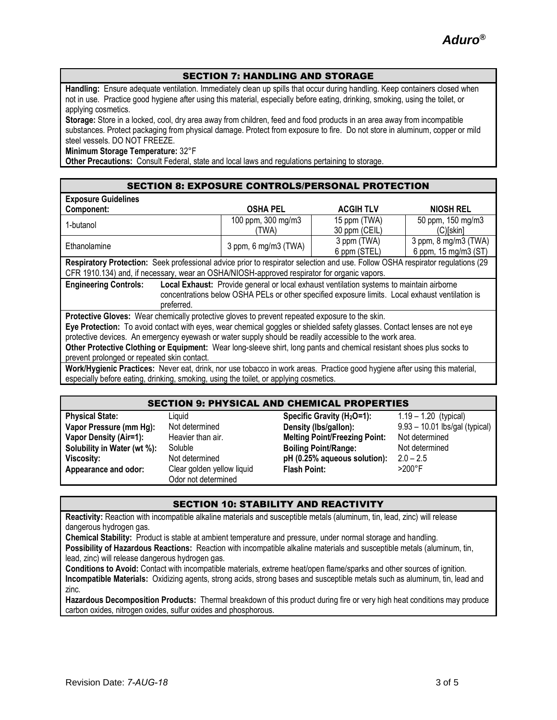### SECTION 7: HANDLING AND STORAGE

**Handling:** Ensure adequate ventilation. Immediately clean up spills that occur during handling. Keep containers closed when not in use. Practice good hygiene after using this material, especially before eating, drinking, smoking, using the toilet, or applying cosmetics.

**Storage:** Store in a locked, cool, dry area away from children, feed and food products in an area away from incompatible substances. Protect packaging from physical damage. Protect from exposure to fire. Do not store in aluminum, copper or mild steel vessels. DO NOT FREEZE.

**Minimum Storage Temperature:** 32°F

**Other Precautions:** Consult Federal, state and local laws and regulations pertaining to storage.

| <b>Exposure Guidelines</b>                                                                                                     |                      |                  |                      |  |
|--------------------------------------------------------------------------------------------------------------------------------|----------------------|------------------|----------------------|--|
| Component:                                                                                                                     | <b>OSHA PEL</b>      | <b>ACGIH TLV</b> | <b>NIOSH REL</b>     |  |
| 1-butanol                                                                                                                      | 100 ppm, 300 mg/m3   | 15 ppm (TWA)     | 50 ppm, 150 mg/m3    |  |
|                                                                                                                                | (TWA)                | 30 ppm (CEIL)    | $(C)$ [skin]         |  |
| Ethanolamine                                                                                                                   | 3 ppm, 6 mg/m3 (TWA) | 3 ppm (TWA)      | 3 ppm, 8 mg/m3 (TWA) |  |
|                                                                                                                                |                      | 6 ppm (STEL)     | 6 ppm, 15 mg/m3 (ST) |  |
| Respiratory Protection: Seek professional advice prior to respirator selection and use. Follow OSHA respirator regulations (29 |                      |                  |                      |  |
| CFR 1910.134) and, if necessary, wear an OSHA/NIOSH-approved respirator for organic vapors.                                    |                      |                  |                      |  |
| <b>Engineering Controls:</b><br>Local Exhaust: Provide general or local exhaust ventilation systems to maintain airborne       |                      |                  |                      |  |
| concentrations below OSHA PELs or other specified exposure limits. Local exhaust ventilation is                                |                      |                  |                      |  |
| preferred.                                                                                                                     |                      |                  |                      |  |
| Protective Gloves: Wear chemically protective gloves to prevent repeated exposure to the skin.                                 |                      |                  |                      |  |
| Eye Protection: To avoid contact with eyes, wear chemical goggles or shielded safety glasses. Contact lenses are not eye       |                      |                  |                      |  |
| protective devices. An emergency eyewash or water supply should be readily accessible to the work area.                        |                      |                  |                      |  |
| Other Protective Clothing or Equipment: Wear long-sleeve shirt, long pants and chemical resistant shoes plus socks to          |                      |                  |                      |  |
| prevent prolonged or repeated skin contact.                                                                                    |                      |                  |                      |  |
| Work/Hygienic Practices: Never eat drink nor use tobacco in work areas. Practice good hygiene after using this material        |                      |                  |                      |  |

**Work/Hygienic Practices:** Never eat, drink, nor use tobacco in work areas. Practice good hygiene after using this material, especially before eating, drinking, smoking, using the toilet, or applying cosmetics.

#### SECTION 9: PHYSICAL AND CHEMICAL PROPERTIES

| <b>Physical State:</b>        | Liquid                     | Specific Gravity $(H2O=1)$ :         | $1.19 - 1.20$ (typical)          |
|-------------------------------|----------------------------|--------------------------------------|----------------------------------|
| Vapor Pressure (mm Hg):       | Not determined             | Density (Ibs/gallon):                | $9.93 - 10.01$ lbs/gal (typical) |
| <b>Vapor Density (Air=1):</b> | Heavier than air.          | <b>Melting Point/Freezing Point:</b> | Not determined                   |
| Solubility in Water (wt %):   | Soluble                    | <b>Boiling Point/Range:</b>          | Not determined                   |
| Viscosity:                    | Not determined             | pH (0.25% aqueous solution):         | $2.0 - 2.5$                      |
| Appearance and odor:          | Clear golden yellow liquid | <b>Flash Point:</b>                  | $>200^\circ F$                   |
|                               | Odor not determined        |                                      |                                  |

#### SECTION 10: STABILITY AND REACTIVITY

**Reactivity:** Reaction with incompatible alkaline materials and susceptible metals (aluminum, tin, lead, zinc) will release dangerous hydrogen gas.

**Chemical Stability:** Product is stable at ambient temperature and pressure, under normal storage and handling. **Possibility of Hazardous Reactions:** Reaction with incompatible alkaline materials and susceptible metals (aluminum, tin, lead, zinc) will release dangerous hydrogen gas.

**Conditions to Avoid:** Contact with incompatible materials, extreme heat/open flame/sparks and other sources of ignition. **Incompatible Materials:** Oxidizing agents, strong acids, strong bases and susceptible metals such as aluminum, tin, lead and zinc.

**Hazardous Decomposition Products:** Thermal breakdown of this product during fire or very high heat conditions may produce carbon oxides, nitrogen oxides, sulfur oxides and phosphorous.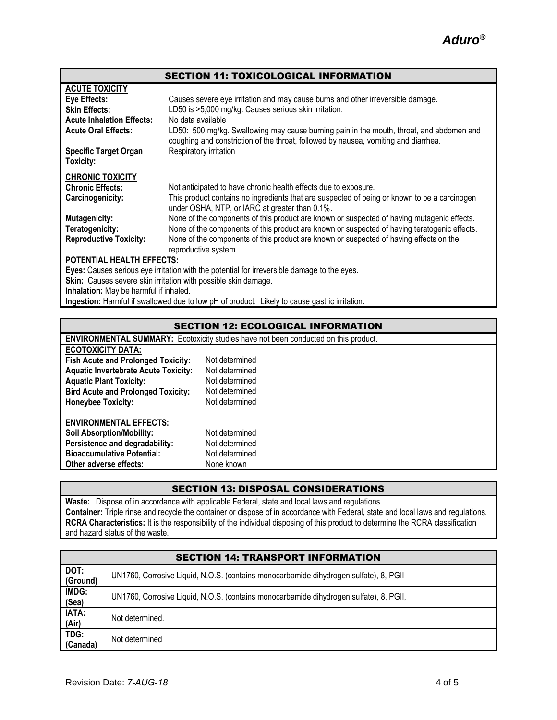### SECTION 11: TOXICOLOGICAL INFORMATION

| <b>ACUTE TOXICITY</b>                                                                       |                                                                                                                                                                                 |  |  |  |
|---------------------------------------------------------------------------------------------|---------------------------------------------------------------------------------------------------------------------------------------------------------------------------------|--|--|--|
| Eye Effects:                                                                                | Causes severe eye irritation and may cause burns and other irreversible damage.                                                                                                 |  |  |  |
| <b>Skin Effects:</b>                                                                        | LD50 is >5,000 mg/kg. Causes serious skin irritation.                                                                                                                           |  |  |  |
| <b>Acute Inhalation Effects:</b>                                                            | No data available                                                                                                                                                               |  |  |  |
| <b>Acute Oral Effects:</b>                                                                  | LD50: 500 mg/kg. Swallowing may cause burning pain in the mouth, throat, and abdomen and<br>coughing and constriction of the throat, followed by nausea, vomiting and diarrhea. |  |  |  |
| <b>Specific Target Organ</b><br>Toxicity:                                                   | Respiratory irritation                                                                                                                                                          |  |  |  |
| <b>CHRONIC TOXICITY</b>                                                                     |                                                                                                                                                                                 |  |  |  |
| <b>Chronic Effects:</b>                                                                     | Not anticipated to have chronic health effects due to exposure.                                                                                                                 |  |  |  |
| Carcinogenicity:                                                                            | This product contains no ingredients that are suspected of being or known to be a carcinogen<br>under OSHA, NTP, or IARC at greater than 0.1%.                                  |  |  |  |
| <b>Mutagenicity:</b>                                                                        | None of the components of this product are known or suspected of having mutagenic effects.                                                                                      |  |  |  |
| Teratogenicity:                                                                             | None of the components of this product are known or suspected of having teratogenic effects.                                                                                    |  |  |  |
| <b>Reproductive Toxicity:</b>                                                               | None of the components of this product are known or suspected of having effects on the<br>reproductive system.                                                                  |  |  |  |
| <b>POTENTIAL HEALTH EFFECTS:</b>                                                            |                                                                                                                                                                                 |  |  |  |
| Eyes: Causes serious eye irritation with the potential for irreversible damage to the eyes. |                                                                                                                                                                                 |  |  |  |
| <b>Skin:</b> Causes severe skin irritation with possible skin damage.                       |                                                                                                                                                                                 |  |  |  |
| Inhalation: May be harmful if inhaled.                                                      |                                                                                                                                                                                 |  |  |  |
|                                                                                             |                                                                                                                                                                                 |  |  |  |

**Ingestion:** Harmful if swallowed due to low pH of product. Likely to cause gastric irritation.

### SECTION 12: ECOLOGICAL INFORMATION

| <b>ENVIRONMENTAL SUMMARY:</b> Ecotoxicity studies have not been conducted on this product. |                |  |
|--------------------------------------------------------------------------------------------|----------------|--|
| <b>ECOTOXICITY DATA:</b>                                                                   |                |  |
| <b>Fish Acute and Prolonged Toxicity:</b>                                                  | Not determined |  |
| <b>Aquatic Invertebrate Acute Toxicity:</b>                                                | Not determined |  |
| <b>Aquatic Plant Toxicity:</b>                                                             | Not determined |  |
| <b>Bird Acute and Prolonged Toxicity:</b>                                                  | Not determined |  |
| <b>Honeybee Toxicity:</b>                                                                  | Not determined |  |
| <b>ENVIRONMENTAL EFFECTS:</b>                                                              |                |  |
| <b>Soil Absorption/Mobility:</b>                                                           | Not determined |  |
| Persistence and degradability:                                                             | Not determined |  |
| <b>Bioaccumulative Potential:</b>                                                          | Not determined |  |
| Other adverse effects:                                                                     | None known     |  |

## SECTION 13: DISPOSAL CONSIDERATIONS

**Waste:** Dispose of in accordance with applicable Federal, state and local laws and regulations. **Container:** Triple rinse and recycle the container or dispose of in accordance with Federal, state and local laws and regulations. **RCRA Characteristics:** It is the responsibility of the individual disposing of this product to determine the RCRA classification and hazard status of the waste.

| <b>SECTION 14: TRANSPORT INFORMATION</b> |                                                                                        |  |  |
|------------------------------------------|----------------------------------------------------------------------------------------|--|--|
| DOT:<br>(Ground)                         | UN1760, Corrosive Liquid, N.O.S. (contains monocarbamide dihydrogen sulfate), 8, PGII  |  |  |
| IMDG:<br>(Sea)                           | UN1760, Corrosive Liquid, N.O.S. (contains monocarbamide dihydrogen sulfate), 8, PGII, |  |  |
| <b>IATA:</b><br>(Air)                    | Not determined.                                                                        |  |  |
| TDG:<br>(Canada)                         | Not determined                                                                         |  |  |